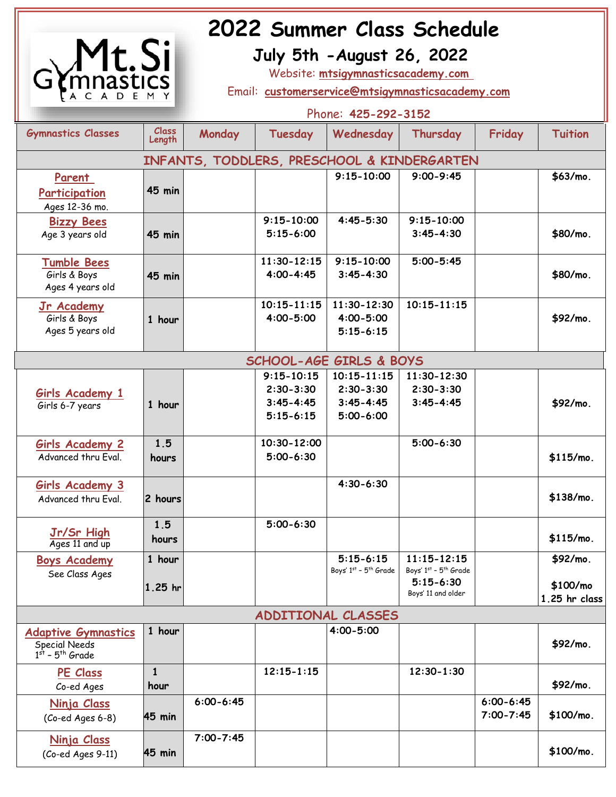

# **2022 Summer Class Schedule<br>
<b>1 Si** July 5th - August 26, 2022

 **July 5th -August 26, 2022**

Website: **mtsigymnasticsacademy.com** 

Email: **[customerservice@mtsigymnasticsacademy.com](mailto:customerservice@mtsigymnasticsacademy.com)**

|                                                                                     | Phone: 425-292-3152    |               |                                                                   |                                                                    |                                                                                 |                                |                                         |
|-------------------------------------------------------------------------------------|------------------------|---------------|-------------------------------------------------------------------|--------------------------------------------------------------------|---------------------------------------------------------------------------------|--------------------------------|-----------------------------------------|
| <b>Gymnastics Classes</b>                                                           | <b>Class</b><br>Length | Monday        | Tuesday                                                           | Wednesday                                                          | Thursday                                                                        | Friday                         | <b>Tuition</b>                          |
| INFANTS, TODDLERS, PRESCHOOL & KINDERGARTEN                                         |                        |               |                                                                   |                                                                    |                                                                                 |                                |                                         |
| Parent<br>Participation<br>Ages 12-36 mo.                                           | <b>45 min</b>          |               |                                                                   | $9:15 - 10:00$                                                     | $9:00 - 9:45$                                                                   |                                | \$63/mo.                                |
| <b>Bizzy Bees</b><br>Age 3 years old                                                | <b>45 min</b>          |               | $9:15 - 10:00$<br>$5:15-6:00$                                     | $4:45 - 5:30$                                                      | $9:15 - 10:00$<br>$3:45 - 4:30$                                                 |                                | \$80/mo.                                |
| <b>Tumble Bees</b><br>Girls & Boys<br>Ages 4 years old                              | <b>45 min</b>          |               | $11:30 - 12:15$<br>$4:00 - 4:45$                                  | $9:15 - 10:00$<br>$3:45 - 4:30$                                    | $5:00 - 5:45$                                                                   |                                | \$80/mo.                                |
| Jr Academy<br>Girls & Boys<br>Ages 5 years old                                      | 1 hour                 |               | $10:15 - 11:15$<br>$4:00 - 5:00$                                  | $11:30 - 12:30$<br>$4:00 - 5:00$<br>$5:15 - 6:15$                  | $10:15 - 11:15$                                                                 |                                | \$92/mo.                                |
| <b>SCHOOL-AGE GIRLS &amp; BOYS</b>                                                  |                        |               |                                                                   |                                                                    |                                                                                 |                                |                                         |
| Girls Academy 1<br>Girls 6-7 years                                                  | 1 hour                 |               | $9:15 - 10:15$<br>$2:30 - 3:30$<br>$3:45 - 4:45$<br>$5:15 - 6:15$ | $10:15 - 11:15$<br>$2:30 - 3:30$<br>$3:45 - 4:45$<br>$5:00 - 6:00$ | $11:30 - 12:30$<br>$2:30 - 3:30$<br>$3:45 - 4:45$                               |                                | \$92/mo.                                |
| <b>Girls Academy 2</b><br>Advanced thru Eval.                                       | 1.5<br>hours           |               | 10:30-12:00<br>$5:00 - 6:30$                                      |                                                                    | $5:00 - 6:30$                                                                   |                                | $$115/mol$ .                            |
| <b>Girls Academy 3</b><br>Advanced thru Eval.                                       | 2 hours                |               |                                                                   | $4:30-6:30$                                                        |                                                                                 |                                | \$138/mo.                               |
| Jr/Sr High<br>Ages 11 and up                                                        | 1.5<br>hours           |               | $5:00 - 6:30$                                                     |                                                                    |                                                                                 |                                | \$115/mo.                               |
| <b>Boys Academy</b><br>See Class Ages                                               | 1 hour<br>$1.25$ hr    |               |                                                                   | $5:15-6:15$<br>Boys' 1st - 5th Grade                               | $11:15 - 12:15$<br>Boys' 1st - 5th Grade<br>$5:15 - 6:30$<br>Boys' 11 and older |                                | \$92/mo.<br>\$100/mo<br>$1.25$ hr class |
| ADDITIONAL CLASSES                                                                  |                        |               |                                                                   |                                                                    |                                                                                 |                                |                                         |
| <b>Adaptive Gymnastics</b><br><b>Special Needs</b><br>$1st$ - 5 <sup>th</sup> Grade | 1 hour                 |               |                                                                   | $4:00 - 5:00$                                                      |                                                                                 |                                | \$92/mo.                                |
| <b>PE Class</b><br>Co-ed Ages                                                       | $\mathbf{1}$<br>hour   |               | $12:15 - 1:15$                                                    |                                                                    | $12:30 - 1:30$                                                                  |                                | \$92/mo.                                |
| <u>Ninja Class</u><br>(Co-ed Ages 6-8)                                              | 45 min                 | $6:00 - 6:45$ |                                                                   |                                                                    |                                                                                 | $6:00 - 6:45$<br>$7:00 - 7:45$ | \$100/mo.                               |
| <u>Ninja Class</u><br>(Co-ed Ages 9-11)                                             | 45 min                 | $7:00 - 7:45$ |                                                                   |                                                                    |                                                                                 |                                | \$100/mo.                               |